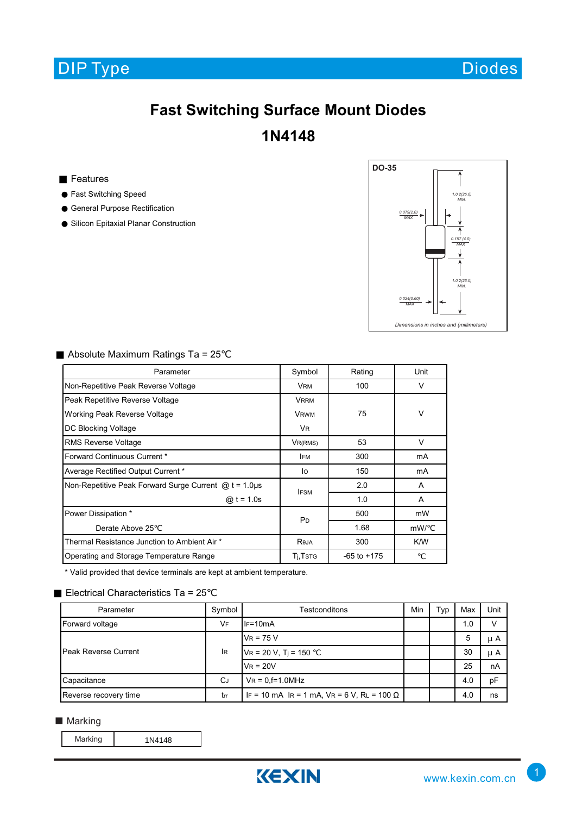

Diodes

## **Fast Switching Surface Mount Diodes 1N4148**

Features

Fast Switching Speed General Purpose Rectification

Silicon Epitaxial Planar Construction



Absolute Maximum Ratings Ta = 25

| Parameter                                                  | Symbol                | Rating          | Unit   |  |  |
|------------------------------------------------------------|-----------------------|-----------------|--------|--|--|
| Non-Repetitive Peak Reverse Voltage                        | <b>VRM</b>            | 100             | V      |  |  |
| Peak Repetitive Reverse Voltage                            | <b>VRRM</b>           |                 |        |  |  |
| Working Peak Reverse Voltage                               | <b>VRWM</b>           | 75              |        |  |  |
| DC Blocking Voltage                                        | <b>VR</b>             |                 |        |  |  |
| <b>RMS Reverse Voltage</b>                                 | VR(RMS)               | 53              | $\vee$ |  |  |
| Forward Continuous Current *                               | <b>IFM</b>            | 300             | mA     |  |  |
| Average Rectified Output Current *                         | lo                    | 150             | mA     |  |  |
| Non-Repetitive Peak Forward Surge Current $@t = 1.0 \mu s$ | <b>IFSM</b>           | 2.0             | A      |  |  |
| @ $t = 1.0s$                                               |                       | 1.0             | A      |  |  |
| Power Dissipation *                                        | <b>P</b> <sub>D</sub> | 500             | mW     |  |  |
| Derate Above 25                                            |                       | 1.68            | mW/    |  |  |
| Thermal Resistance Junction to Ambient Air *               | Reja                  | 300             | K/W    |  |  |
| Operating and Storage Temperature Range                    | T <sub>i</sub> , Tstg | $-65$ to $+175$ |        |  |  |

\* Valid provided that device terminals are kept at ambient temperature.

## Electrical Characteristics Ta = 25

| Parameter                   | Symbol    | Testconditons                                       | Min | Typ | Max | Unit |
|-----------------------------|-----------|-----------------------------------------------------|-----|-----|-----|------|
| Forward voltage             | VF        | $IF=10mA$                                           |     |     | 1.0 |      |
| <b>Peak Reverse Current</b> | <b>IR</b> | $V_R$ = 75 V                                        |     |     | 5   | μA   |
|                             |           | $V_R$ = 20 V, T <sub>j</sub> = 150                  |     |     | 30  | μA   |
|                             |           | $V_R = 20V$                                         |     |     | 25  | nA   |
| Capacitance                 | <b>CJ</b> | $V_R = 0.f=1.0MHz$                                  |     |     | 4.0 | pF   |
| Reverse recovery time       | trr       | IF = 10 mA IR = 1 mA, $V = 6 V$ , RL = 100 $\Omega$ |     |     | 4.0 | ns   |

■ Marking

Marking 1N4148